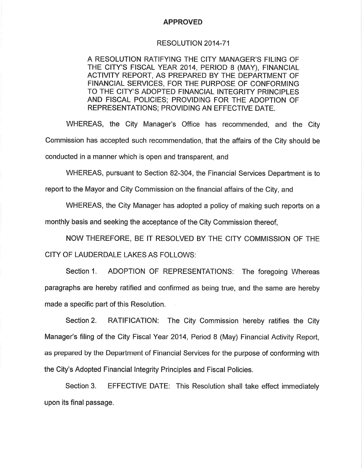## **APPROVED**

## RESOLUTION 2014-71

A RESOLUTION RATIFYING THE CITY MANAGER'S FILING OF THE CITY'S FISCAL YEAR 2014, PERIOD 8 (MAY), FINANCIAL ACTIVITY REPORT, AS PREPARED BY THE DEPARTMENT OF FINANCIAL SERVICES, FOR THE PURPOSE OF CONFORMING TO THE CITY'S ADOPTED FINANCIAL INTEGRITY PRINCIPLES AND FISCAL POLICIES: PROVIDING FOR THE ADOPTION OF REPRESENTATIONS; PROVIDING AN EFFECTIVE DATE.

WHEREAS, the City Manager's Office has recommended, and the City Commission has accepted such recommendation, that the affairs of the City should be conducted in a manner which is open and transparent, and

WHEREAS, pursuant to Section 82-304, the Financial Services Department is to

report to the Mayor and City Commission on the financial affairs of the City, and

WHEREAS, the City Manager has adopted a policy of making such reports on a monthly basis and seeking the acceptance of the City Commission thereof.

NOW THEREFORE, BE IT RESOLVED BY THE CITY COMMISSION OF THE CITY OF LAUDERDALE LAKES AS FOLLOWS:

Section 1. ADOPTION OF REPRESENTATIONS: The foregoing Whereas paragraphs are hereby ratified and confirmed as being true, and the same are hereby made a specific part of this Resolution.

RATIFICATION: The City Commission hereby ratifies the City Section 2. Manager's filing of the City Fiscal Year 2014, Period 8 (May) Financial Activity Report, as prepared by the Department of Financial Services for the purpose of conforming with the City's Adopted Financial Integrity Principles and Fiscal Policies.

Section 3. EFFECTIVE DATE: This Resolution shall take effect immediately upon its final passage.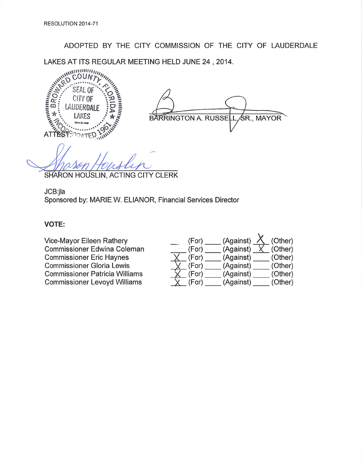ADOPTED BY THE CITY COMMISSION OF THE CITY OF LAUDERDALE LAKES AT ITS REGULAR MEETING HELD JUNE 24, 2014.



**BARRINGTON A. RUSSEI** ∕SR., MAYOR

SHARON HOUSLIN, ACTING CITY CLERK

JCB:jla Sponsored by: MARIE W. ELIANOR, Financial Services Director

## **VOTE:**

Vice-Mayor Eileen Rathery **Commissioner Edwina Coleman Commissioner Eric Haynes Commissioner Gloria Lewis Commissioner Patricia Williams Commissioner Levoyd Williams** 

| (For) | (Against) | (Other) |
|-------|-----------|---------|
| (For) | (Against) | (Other) |
| (For) | (Against) | (Other) |
| (For) | (Against) | (Other) |
| (For) | (Against) | (Other) |
| (For) | (Against) | (Other) |